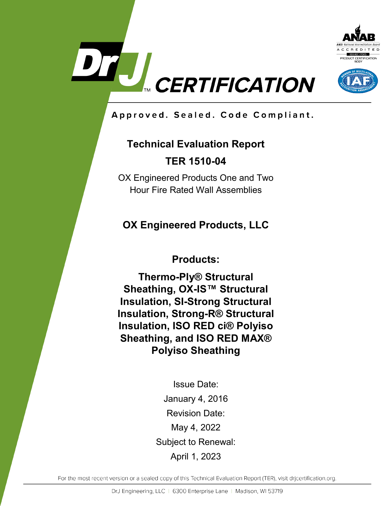



Approved. Sealed. Code Compliant.

# **Technical Evaluation Report TER 1510-04**

OX Engineered Products One and Two Hour Fire Rated Wall Assemblies

## **OX Engineered Products, LLC**

**Products:**

**Thermo-Ply® Structural Sheathing, OX-IS™ Structural Insulation, SI-Strong Structural Insulation, Strong-R® Structural Insulation, ISO RED ci® Polyiso Sheathing, and ISO RED MAX® Polyiso Sheathing**

> Issue Date: January 4, 2016 Revision Date: May 4, 2022 Subject to Renewal: April 1, 2023

For the most recent version or a sealed copy of this Technical Evaluation Report (TER), visit drjcertification.org.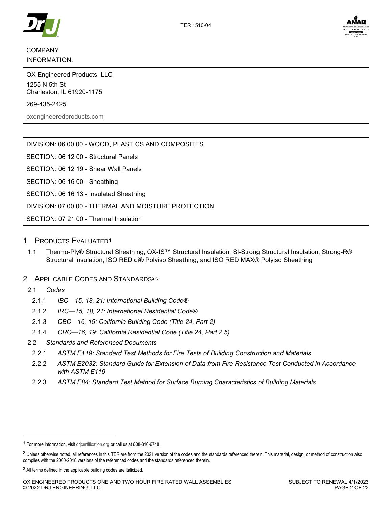

## INFORMATION:

OX Engineered Products, LLC 1255 N 5th St Charleston, IL 61920-1175

269-435-2425

[oxengineeredproducts.com](https://www.oxengineeredproducts.com/)

| <u>DIVIGION. 00 00 00 - WOOD, FLASTICS AND COMFOSITES</u> |
|-----------------------------------------------------------|
| SECTION: 06 12 00 - Structural Panels                     |
| SECTION: 06 12 19 - Shear Wall Panels                     |
| SECTION: 06 16 00 - Sheathing                             |
| SECTION: 06 16 13 - Insulated Sheathing                   |
| DIVISION: 07 00 00 - THERMAL AND MOISTURE PROTECTION      |
| SECTION: 07 21 00 - Thermal Insulation                    |

DIVISION: 06 00 00 - WOOD, PLASTICS AND COMPOSITES

## 1 PRODUCTS EVALUATED[1](#page-1-0)

<span id="page-1-3"></span>1.1 Thermo-Ply® Structural Sheathing, OX-IS™ Structural Insulation, SI-Strong Structural Insulation, Strong-R® Structural Insulation, ISO RED ci® Polyiso Sheathing, and ISO RED MAX® Polyiso Sheathing

## 2 APPLICABLE CODES AND STANDARDS<sup>[2,](#page-1-1)[3](#page-1-2)</sup>

2.1 *Codes*

-

- 2.1.1 *IBC—15, 18, 21: International Building Code®*
- 2.1.2 *IRC—15, 18, 21: International Residential Code®*
- 2.1.3 *CBC—16, 19: California Building Code (Title 24, Part 2)*
- 2.1.4 *CRC—16, 19: California Residential Code (Title 24, Part 2.5)*
- 2.2 *Standards and Referenced Documents*
	- 2.2.1 *ASTM E119: Standard Test Methods for Fire Tests of Building Construction and Materials*
	- 2.2.2 *ASTM E2032: Standard Guide for Extension of Data from Fire Resistance Test Conducted in Accordance with ASTM E119*
	- 2.2.3 *ASTM E84: Standard Test Method for Surface Burning Characteristics of Building Materials*

<span id="page-1-0"></span><sup>1</sup> For more information, visi[t drjcertification.org](https://www.drjcertification.org/) or call us at 608-310-6748.

<span id="page-1-1"></span><sup>&</sup>lt;sup>2</sup> Unless otherwise noted, all references in this TER are from the 2021 version of the codes and the standards referenced therein. This material, design, or method of construction also complies with the 2000-2018 versions of the referenced codes and the standards referenced therein.

<span id="page-1-2"></span><sup>&</sup>lt;sup>3</sup> All terms defined in the applicable building codes are italicized.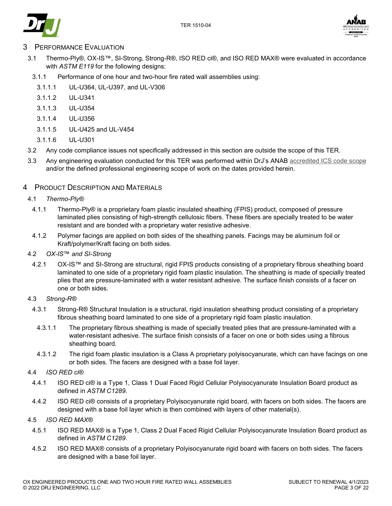



## **PERFORMANCE EVALUATION**

- 3.1 Thermo-Ply®, OX-IS™, SI-Strong, Strong-R®, ISO RED ci®, and ISO RED MAX® were evaluated in accordance with *ASTM E119* for the following designs:
	- 3.1.1 Performance of one hour and two-hour fire rated wall assemblies using:
		- 3.1.1.1 UL-U364, UL-U397, and UL-V306
		- 3.1.1.2 UL-U341
		- 3.1.1.3 UL-U354
		- 3.1.1.4 UL-U356
		- 3.1.1.5 UL-U425 and UL-V454
		- 3.1.1.6 UL-U301
- 3.2 Any code compliance issues not specifically addressed in this section are outside the scope of this TER.
- 3.3 Any engineering evaluation conducted for this TER was performed within DrJ's ANAB [accredited ICS code scope](https://www.drjcertification.org/sites/default/files/uploads/attachments/node/1717/Accredited_Certification_Body_Scope_Comparison.pdf) and/or the defined professional engineering scope of work on the dates provided herein.

#### 4 PRODUCT DESCRIPTION AND MATERIALS

#### 4.1 *Thermo-Ply®*

- 4.1.1 Thermo-Ply® is a proprietary foam plastic insulated sheathing (FPIS) product, composed of pressure laminated plies consisting of high-strength cellulosic fibers. These fibers are specially treated to be water resistant and are bonded with a proprietary water resistive adhesive.
- 4.1.2 Polymer facings are applied on both sides of the sheathing panels. Facings may be aluminum foil or Kraft/polymer/Kraft facing on both sides.

### 4.2 *OX-IS*™ *and SI-Strong*

4.2.1 OX-IS™ and SI-Strong are structural, rigid FPIS products consisting of a proprietary fibrous sheathing board laminated to one side of a proprietary rigid foam plastic insulation. The sheathing is made of specially treated plies that are pressure-laminated with a water resistant adhesive. The surface finish consists of a facer on one or both sides.

#### 4.3 *Strong-R®*

- 4.3.1 Strong-R® Structural Insulation is a structural, rigid insulation sheathing product consisting of a proprietary fibrous sheathing board laminated to one side of a proprietary rigid foam plastic insulation.
	- 4.3.1.1 The proprietary fibrous sheathing is made of specially treated plies that are pressure-laminated with a water-resistant adhesive. The surface finish consists of a facer on one or both sides using a fibrous sheathing board.
	- 4.3.1.2 The rigid foam plastic insulation is a Class A proprietary polyisocyanurate, which can have facings on one or both sides. The facers are designed with a base foil layer.

#### 4.4 *ISO RED ci®*

- 4.4.1 ISO RED ci® is a Type 1, Class 1 Dual Faced Rigid Cellular Polyisocyanurate Insulation Board product as defined in *ASTM C1289*.
- 4.4.2 ISO RED ci® consists of a proprietary Polyisocyanurate rigid board, with facers on both sides. The facers are designed with a base foil layer which is then combined with layers of other material(s).

#### 4.5 *ISO RED MAX®*

- 4.5.1 ISO RED MAX® is a Type 1, Class 2 Dual Faced Rigid Cellular Polyisocyanurate Insulation Board product as defined in *ASTM C1289*.
- 4.5.2 ISO RED MAX® consists of a proprietary Polyisocyanurate rigid board with facers on both sides. The facers are designed with a base foil layer.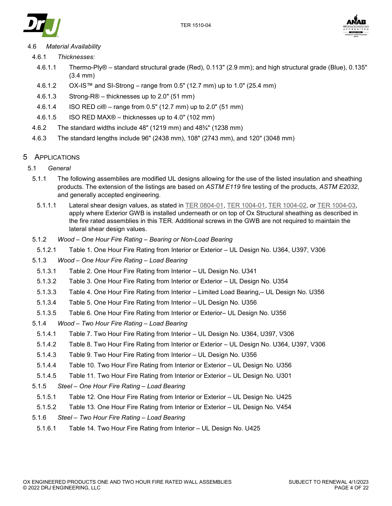



## 4.6 *Material Availability*

- 4.6.1 *Thicknesses:*
	- 4.6.1.1 Thermo-Ply® standard structural grade (Red), 0.113" (2.9 mm); and high structural grade (Blue), 0.135" (3.4 mm)
	- 4.6.1.2 OX-IS™ and SI-Strong range from 0.5" (12.7 mm) up to 1.0" (25.4 mm)
	- 4.6.1.3 Strong-R® thicknesses up to 2.0" (51 mm)
	- 4.6.1.4 ISO RED ci® range from 0.5" (12.7 mm) up to 2.0" (51 mm)
	- 4.6.1.5 ISO RED MAX® thicknesses up to 4.0" (102 mm)
- 4.6.2 The standard widths include 48" (1219 mm) and 48¾" (1238 mm)
- 4.6.3 The standard lengths include 96" (2438 mm), 108" (2743 mm), and 120" (3048 mm)

## <span id="page-3-0"></span>5 APPLICATIONS

- 5.1 *General*
	- 5.1.1 The following assemblies are modified UL designs allowing for the use of the listed insulation and sheathing products. The extension of the listings are based on *ASTM E119* fire testing of the products, *ASTM E2032*, and generally accepted engineering.
		- 5.1.1.1 Lateral shear design values, as stated in [TER 0804-01,](https://www.drjcertification.org/ter/0804-01) TER [1004-01,](https://www.drjcertification.org/ter/1004-01) [TER 1004-02,](https://www.drjcertification.org/ter/1004-02) or [TER 1004-03,](https://www.drjcertification.org/ter/1004-03) apply where Exterior GWB is installed underneath or on top of Ox Structural sheathing as described in the fire rated assemblies in this TER. Additional screws in the GWB are not required to maintain the lateral shear design values.
	- 5.1.2 *Wood – One Hour Fire Rating – [Bearing or Non-Load Bearing](#page-4-0)*
	- 5.1.2.1 [Table 1. One Hour Fire Rating from Interior or Exterior –](#page-4-1) UL Design No. U364, U397, V306
	- 5.1.3 *Wood – [One Hour Fire Rating](#page-5-0) – Load Bearing*
	- 5.1.3.1 [Table 2. One Hour Fire Rating from Interior –](#page-5-1) UL Design No. U341
	- 5.1.3.2 [Table 3. One Hour Fire Rating from Interior or Exterior –](#page-6-0) UL Design No. U354
	- 5.1.3.3 [Table 4. One Hour Fire Rating from Interior –](#page-7-0) Limited Load Bearing,– UL Design No. U356
	- 5.1.3.4 [Table 5. One Hour Fire Rating from](#page-9-0) Interior UL Design No. U356
	- 5.1.3.5 [Table 6. One Hour Fire Rating from](#page-10-0) Interior or Exterior– UL Design No. U356
	- 5.1.4 *Wood – [Two Hour Fire Rating](#page-8-0) – Load Bearing*
	- 5.1.4.1 [Table 7. Two Hour Fire Rating from Interior –](#page-11-0) UL Design No. U364, U397, V306
	- 5.1.4.2 [Table 8. Two Hour Fire Rating from Interior or Exterior –](#page-12-0) UL Design No. U364, U397, V306
	- 5.1.4.3 [Table 9. Two Hour Fire Rating from Interior –](#page-13-0) UL Design No. U356
	- 5.1.4.4 [Table 10. Two Hour Fire Rating from Interior or Exterior –](#page-14-0) UL Design No. U356
	- 5.1.4.5 [Table 11. Two Hour Fire Rating from Interior or Exterior –](#page-15-0) UL Design No. U301
	- 5.1.5 *Steel – [One Hour Fire Rating –](#page-16-0) Load Bearing*
	- 5.1.5.1 [Table 12. One Hour Fire Rating from Interior or Exterior –](#page-16-1) UL Design No. U425
	- 5.1.5.2 [Table 13. One Hour Fire Rating from Interior or Exterior –](#page-17-0) UL Design No. V454
	- 5.1.6 *Steel – [Two Hour Fire Rating –](#page-18-0) Load Bearing*
	- 5.1.6.1 [Table 14. Two Hour Fire Rating from](#page-18-1) Interior UL Design No. U425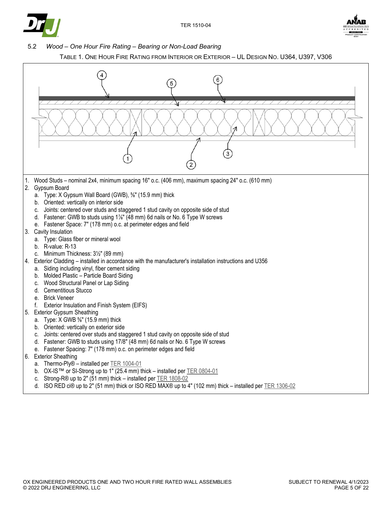



<span id="page-4-0"></span>5.2 *Wood – One Hour Fire Rating – Bearing or Non-Load Bearing* 



<span id="page-4-1"></span>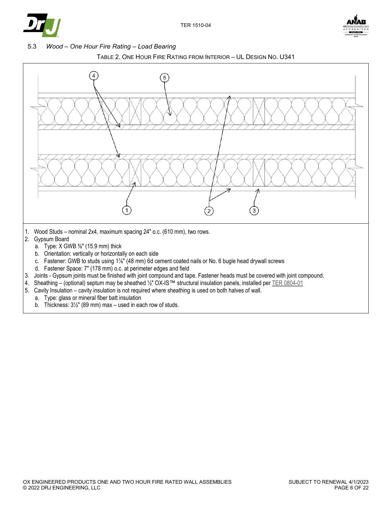



<span id="page-5-0"></span>5.3 *Wood – One Hour Fire Rating – Load Bearing*



<span id="page-5-1"></span>

- 3. Joints Gypsum joints must be finished with joint compound and tape. Fastener heads must be covered with joint compound.
- 4. Sheathing (optional) septum may be sheathed 1/2" OX-IS™ structural insulation panels, installed per [TER 0804-01](https://www.drjcertification.org/ter/0804-01)
- 5. Cavity Insulation cavity insulation is not required where sheathing is used on both halves of wall.
	- a. Type: glass or mineral fiber batt insulation
	- b. Thickness: 3½″ (89 mm) max used in each row of studs.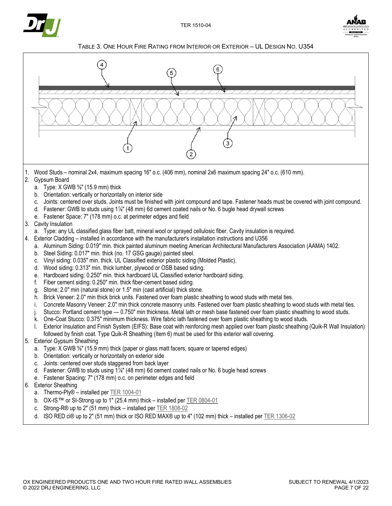



TABLE 3. ONE HOUR FIRE RATING FROM INTERIOR OR EXTERIOR – UL DESIGN NO. U354

<span id="page-6-0"></span>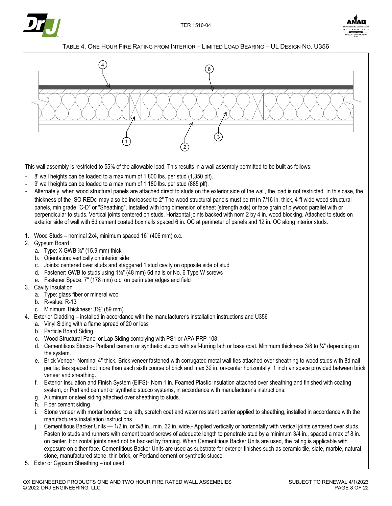



#### TABLE 4. ONE HOUR FIRE RATING FROM INTERIOR – LIMITED LOAD BEARING – UL DESIGN NO. U356

<span id="page-7-0"></span>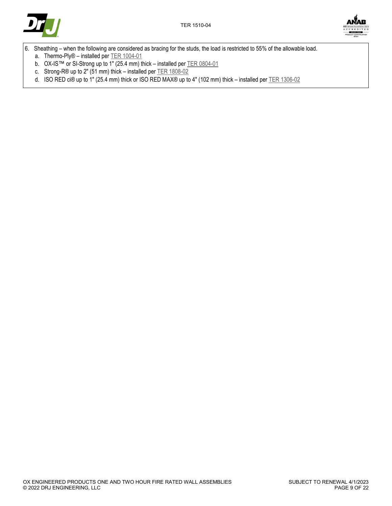



- <span id="page-8-0"></span>6. Sheathing – when the following are considered as bracing for the studs, the load is restricted to 55% of the allowable load.
	- a. Thermo-Ply® installed per [TER 1004-01](https://www.drjcertification.org/ter/1004-01)
	- b. OX-IS™ or SI-Strong up to 1" (25.4 mm) thick installed pe[r TER 0804-01](https://www.drjcertification.org/ter/0804-01)
	- c. Strong-R® up to 2" (51 mm) thick installed pe[r TER 1808-02](https://www.drjcertification.org/ter/1808-02)
	- d. ISO RED ci® up to 1" (25.4 mm) thick or ISO RED MAX® up to 4" (102 mm) thick installed per [TER 1306-02](https://www.drjcertification.org/ter/1306-02)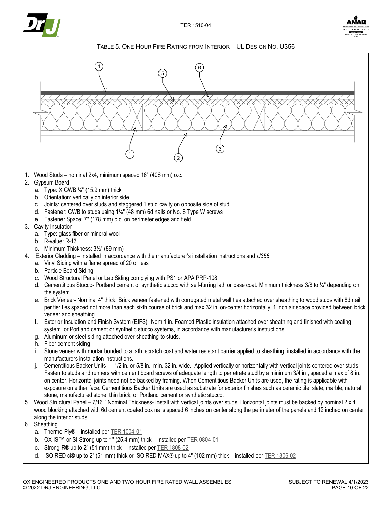



TABLE 5. ONE HOUR FIRE RATING FROM INTERIOR – UL DESIGN NO. U356

<span id="page-9-0"></span>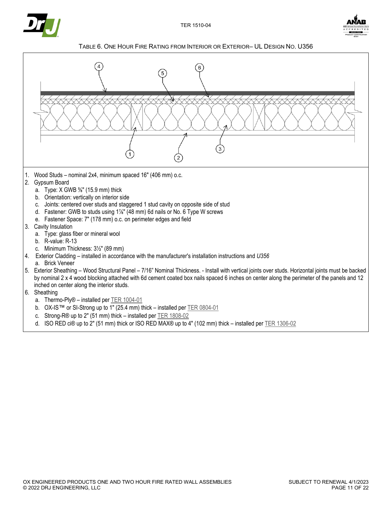



TABLE 6. ONE HOUR FIRE RATING FROM INTERIOR OR EXTERIOR– UL DESIGN NO. U356

<span id="page-10-0"></span>

d. ISO RED ci® up to 2" (51 mm) thick or ISO RED MAX® up to 4" (102 mm) thick – installed pe[r TER 1306-02](https://www.drjcertification.org/ter/1306-02)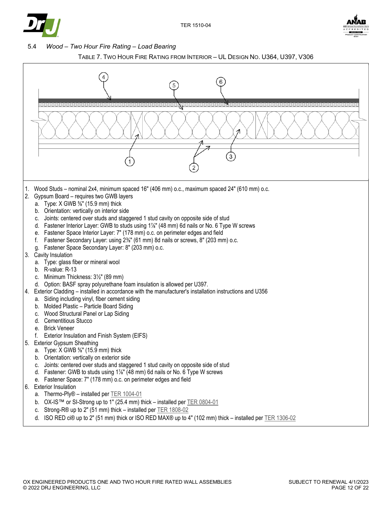



#### <span id="page-11-1"></span>5.4 *Wood – Two Hour Fire Rating – Load Bearing*



<span id="page-11-0"></span>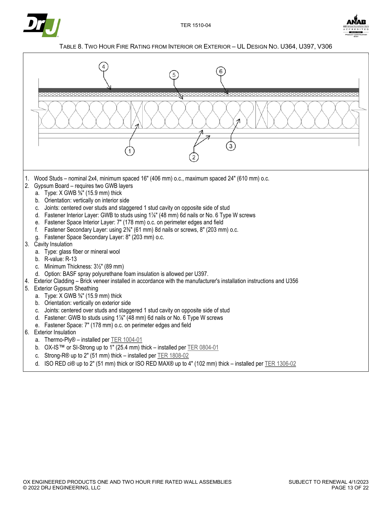



#### TABLE 8. TWO HOUR FIRE RATING FROM INTERIOR OR EXTERIOR – UL DESIGN NO. U364, U397, V306

<span id="page-12-0"></span>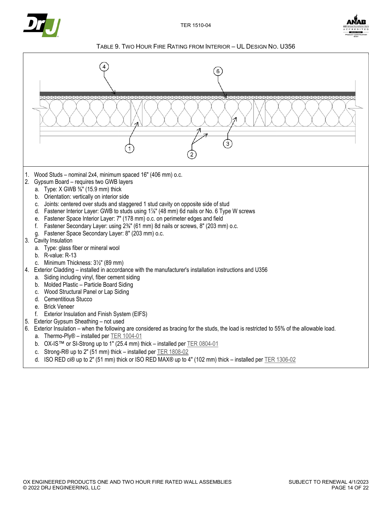



TABLE 9. TWO HOUR FIRE RATING FROM INTERIOR – UL DESIGN NO. U356

<span id="page-13-0"></span>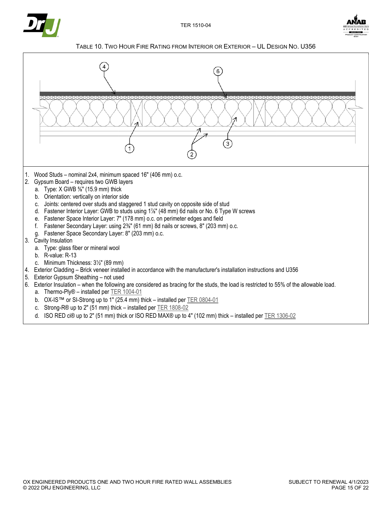



TABLE 10. TWO HOUR FIRE RATING FROM INTERIOR OR EXTERIOR – UL DESIGN NO. U356

<span id="page-14-0"></span>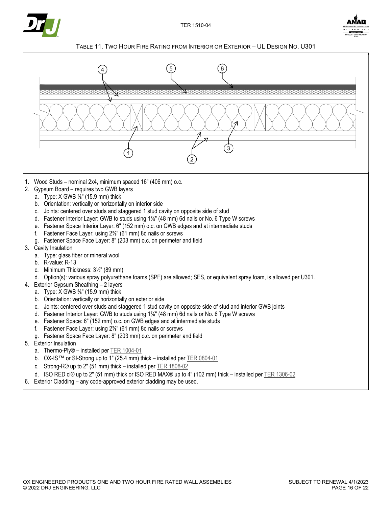



#### TABLE 11. TWO HOUR FIRE RATING FROM INTERIOR OR EXTERIOR – UL DESIGN NO. U301

<span id="page-15-0"></span>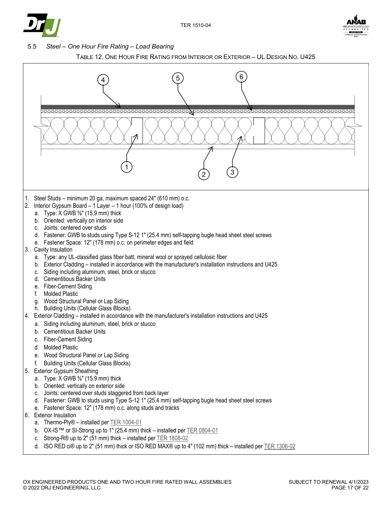



<span id="page-16-0"></span>



<span id="page-16-1"></span>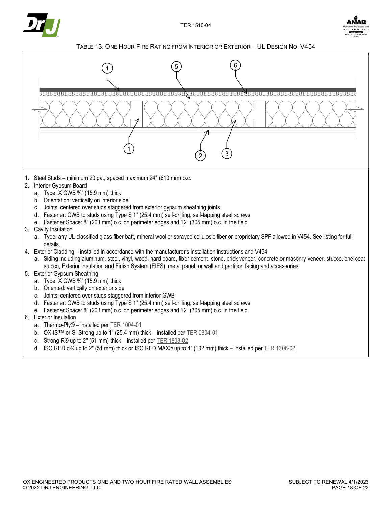



#### TABLE 13. ONE HOUR FIRE RATING FROM INTERIOR OR EXTERIOR – UL DESIGN NO. V454

<span id="page-17-0"></span>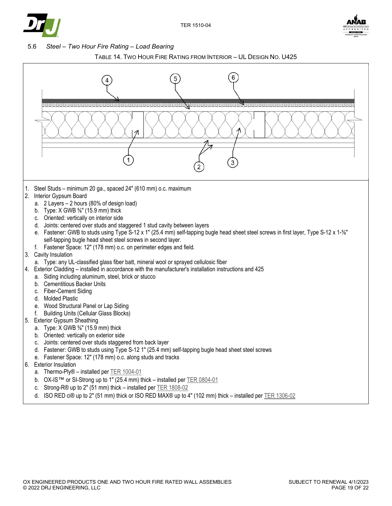



<span id="page-18-0"></span>5.6 *Steel – Two Hour Fire Rating – Load Bearing* 



<span id="page-18-1"></span>

d. ISO RED ci® up to 2" (51 mm) thick or ISO RED MAX® up to 4" (102 mm) thick – installed per TER [1306-02](https://www.drjcertification.org/ter/1306-02)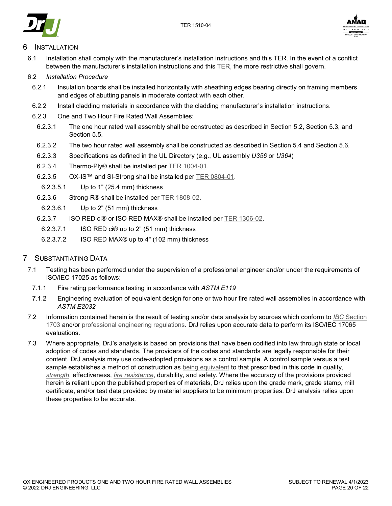



## <span id="page-19-0"></span>**INSTALLATION**

6.1 Installation shall comply with the manufacturer's installation instructions and this TER. In the event of a conflict between the manufacturer's installation instructions and this TER, the more restrictive shall govern.

#### 6.2 *Installation Procedure*

- 6.2.1 Insulation boards shall be installed horizontally with sheathing edges bearing directly on framing members and edges of abutting panels in moderate contact with each other.
- 6.2.2 Install cladding materials in accordance with the cladding manufacturer's installation instructions.
- 6.2.3 One and Two Hour Fire Rated Wall Assemblies:
	- 6.2.3.1 The one hour rated wall assembly shall be constructed as described in Section [5.2,](#page-4-0) Section [5.3,](#page-5-0) and Section [5.5.](#page-16-0)
	- 6.2.3.2 The two hour rated wall assembly shall be constructed as described in Section [5.4](#page-11-1) and Section [5.6.](#page-18-0)
	- 6.2.3.3 Specifications as defined in the UL Directory (e.g., UL assembly *U356* or *U364*)
	- 6.2.3.4 Thermo-Ply® shall be installed per TER [1004-01.](https://www.drjcertification.org/ter/1004-01)
	- 6.2.3.5 OX-IS™ and SI-Strong shall be installed per TER [0804-01.](https://www.drjcertification.org/ter/0804-01)
	- 6.2.3.5.1 Up to 1" (25.4 mm) thickness
	- 6.2.3.6 Strong-R® shall be installed per TER [1808-02.](https://www.drjcertification.org/ter/1808-02)
	- 6.2.3.6.1 Up to 2" (51 mm) thickness
	- 6.2.3.7 ISO RED ci® or ISO RED MAX® shall be installed per TER [1306-02.](https://www.drjcertification.org/node/255)
	- 6.2.3.7.1 ISO RED ci® up to 2" (51 mm) thickness
	- 6.2.3.7.2 ISO RED MAX® up to 4" (102 mm) thickness
- 7 SUBSTANTIATING DATA
- 7.1 Testing has been performed under the supervision of a professional engineer and/or under the requirements of ISO/IEC 17025 as follows:
	- 7.1.1 Fire rating performance testing in accordance with *ASTM E119*
	- 7.1.2 Engineering evaluation of equivalent design for one or two hour fire rated wall assemblies in accordance with *ASTM E2032*
- 7.2 Information contained herein is the result of testing and/or data analysis by sources which conform to *IBC* [Section](https://www.drjcertification.org/2021/ibc/section-1703)  [1703](https://www.drjcertification.org/2021/ibc/section-1703) and/or [professional engineering regulations.](https://www.drjcertification.org/nspe-licensing-boards) DrJ relies upon accurate data to perform its ISO/IEC 17065 evaluations.
- 7.3 Where appropriate, DrJ's analysis is based on provisions that have been codified into law through state or local adoption of codes and standards. The providers of the codes and standards are legally responsible for their content. DrJ analysis may use code-adopted provisions as a control sample. A control sample versus a test sample establishes a method of construction as [being equivalent](https://www.drjcertification.org/2021/ibc/section-104.11) to that prescribed in this code in quality, *[strength](https://www.drjcertification.org/2021/ibc/chapter-2/strength)*, effectiveness, *[fire resistance](https://www.drjcertification.org/2021/ibc/chapter-2/fire-resistance)*, durability, and safety. Where the accuracy of the provisions provided herein is reliant upon the published properties of materials, DrJ relies upon the grade mark, grade stamp, mill certificate, and/or test data provided by material suppliers to be minimum properties. DrJ analysis relies upon these properties to be accurate.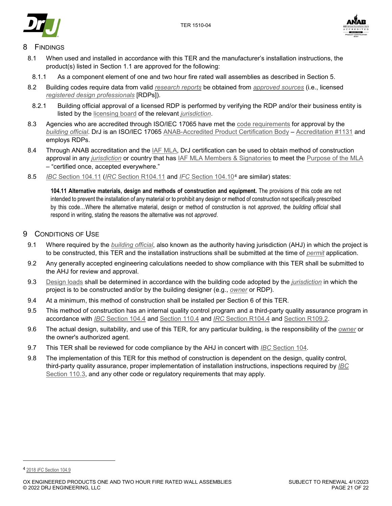



## **FINDINGS**

- 8.1 When used and installed in accordance with this TER and the manufacturer's installation instructions, the product(s) listed in Section [1.1](#page-1-3) are approved for the following:
- 8.1.1 As a component element of one and two hour fire rated wall assemblies as described in Section [5.](#page-3-0)
- 8.2 Building codes require data from valid *[research reports](https://www.drjcertification.org/2021/ibc/section-1703.4.2/research-report)* be obtained from *[approved sources](https://www.drjcertification.org/2021/ibc/chapter-2/approved-source)* (i.e., licensed *[registered design professionals](https://www.drjcertification.org/2021/ibc/chapter-2/registered-design-professional)* [RDPs]).
- 8.2.1 Building official approval of a licensed RDP is performed by verifying the RDP and/or their business entity is listed by the [licensing board](https://www.drjcertification.org/nspe-licensing-boards) of the relevant *[jurisdiction](https://www.drjcertification.org/2021/ibc/chapter-2/jurisdiction)*.
- 8.3 Agencies who are accredited through ISO/IEC 17065 have met the [code requirements](https://www.drjcertification.org/2021/ibc/section-1703.1) for approval by the *[building official](https://www.drjcertification.org/2021/ibc/chapter-2/building-official)*. DrJ is an ISO/IEC 17065 [ANAB-Accredited Product Certification Body](https://www.drjcertification.org/anab-certification-bodies) – [Accreditation #1131](https://www.drjcertification.org/anab-accreditation-1131) and employs RDPs.
- 8.4 Through ANAB accreditation and the LAF MLA, DrJ certification can be used to obtain method of construction approval in any *[jurisdiction](https://www.drjcertification.org/2021/ibc/chapter-2/jurisdiction)* or country that has [IAF MLA Members & Signatories](https://www.drjcertification.org/iaf-mla-signatories) to meet the [Purpose of the MLA](https://www.drjcertification.org/mla-purpose) – "certified once, accepted everywhere."
- 8.5 *IBC* [Section 104.11](https://www.drjcertification.org/2021/ibc/section-104.11) (*IRC* [Section R104.11](https://www.drjcertification.org/2021/irc/section-R104.11) and *IFC* [Section 104.10](https://www.drjcertification.org/2021/ifc/section-104.10)[4](#page-20-0) are similar) states:

**104.11 Alternative materials, design and methods of construction and equipment.** The provisions of this code are not intended to prevent the installation of any material or to prohibit any design or method of construction not specifically prescribed by this code…Where the alternative material, design or method of construction is not *approved*, the *building official* shall respond in writing, stating the reasons the alternative was not *approved*.

## 9 CONDITIONS OF USE

- 9.1 Where required by the *[building official](https://www.drjcertification.org/2021/ibc/chapter-2/building-official)*, also known as the authority having jurisdiction (AHJ) in which the project is to be constructed, this TER and the installation instructions shall be submitted at the time of *[permit](https://www.drjcertification.org/2021/ibc/chapter-2/permit)* application.
- 9.2 Any generally accepted engineering calculations needed to show compliance with this TER shall be submitted to the AHJ for review and approval.
- 9.3 [Design loads](https://www.drjcertification.org/2021/ibc/section-1603.1) shall be determined in accordance with the building code adopted by the *[jurisdiction](https://www.drjcertification.org/2021/ibc/chapter-2/jurisdiction)* in which the project is to be constructed and/or by the building designer (e.g., *[owner](https://www.drjcertification.org/2021/ibc/chapter-2/owner)* or RDP).
- 9.4 At a minimum, this method of construction shall be installed per Section [6](#page-19-0) of this TER.
- 9.5 This method of construction has an internal quality control program and a third-party quality assurance program in accordance with *IBC* [Section 104.4](https://www.drjcertification.org/2021/ibc/section-104.4) and [Section 110.4](https://www.drjcertification.org/2021/ibc/section-110.4) and *IRC* [Section R104.4](https://www.drjcertification.org/2021/irc/section-R104.4) and [Section R109.2.](https://www.drjcertification.org/2021/irc/section-R109.2)
- 9.6 The actual design, suitability, and use of this TER, for any particular building, is the responsibility of the *[owner](https://www.drjcertification.org/2021/ibc/chapter-2/owner)* or the owner's authorized agent.
- 9.7 This TER shall be reviewed for code compliance by the AHJ in concert with *IBC* [Section 104.](https://www.drjcertification.org/2021/ibc/section-104)
- 9.8 The implementation of this TER for this method of construction is dependent on the design, quality control, third-party quality assurance, proper implementation of installation instructions, inspections required by *[IBC](https://www.drjcertification.org/2021/ibc/section-110.3)* [Section 110.3,](https://www.drjcertification.org/2021/ibc/section-110.3) and any other code or regulatory requirements that may apply.

j

<span id="page-20-0"></span><sup>4</sup> 2018 *IFC* [Section 104.9](https://www.drjcertification.org/2018/ifc/section-104.9)